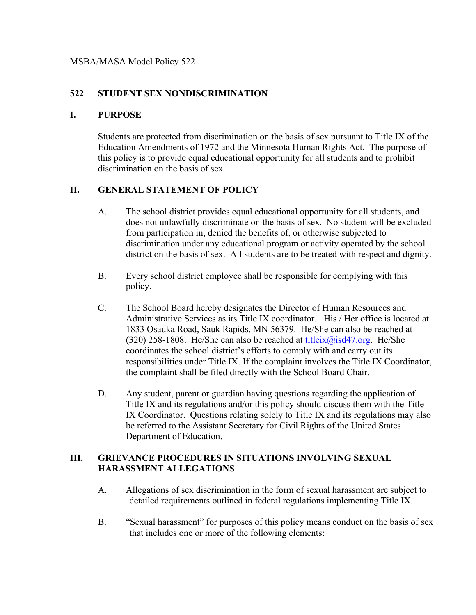#### **522 STUDENT SEX NONDISCRIMINATION**

#### **I. PURPOSE**

Students are protected from discrimination on the basis of sex pursuant to Title IX of the Education Amendments of 1972 and the Minnesota Human Rights Act. The purpose of this policy is to provide equal educational opportunity for all students and to prohibit discrimination on the basis of sex.

## **II. GENERAL STATEMENT OF POLICY**

- A. The school district provides equal educational opportunity for all students, and does not unlawfully discriminate on the basis of sex. No student will be excluded from participation in, denied the benefits of, or otherwise subjected to discrimination under any educational program or activity operated by the school district on the basis of sex. All students are to be treated with respect and dignity.
- B. Every school district employee shall be responsible for complying with this policy.
- C. The School Board hereby designates the Director of Human Resources and Administrative Services as its Title IX coordinator. His / Her office is located at 1833 Osauka Road, Sauk Rapids, MN 56379. He/She can also be reached at (320) 258-1808. He/She can also be reached at titleix $\omega$ isd47.org. He/She coordinates the school district's efforts to comply with and carry out its responsibilities under Title IX. If the complaint involves the Title IX Coordinator, the complaint shall be filed directly with the School Board Chair.
- D. Any student, parent or guardian having questions regarding the application of Title IX and its regulations and/or this policy should discuss them with the Title IX Coordinator. Questions relating solely to Title IX and its regulations may also be referred to the Assistant Secretary for Civil Rights of the United States Department of Education.

#### **III. GRIEVANCE PROCEDURES IN SITUATIONS INVOLVING SEXUAL HARASSMENT ALLEGATIONS**

- A. Allegations of sex discrimination in the form of sexual harassment are subject to detailed requirements outlined in federal regulations implementing Title IX.
- B. "Sexual harassment" for purposes of this policy means conduct on the basis of sex that includes one or more of the following elements: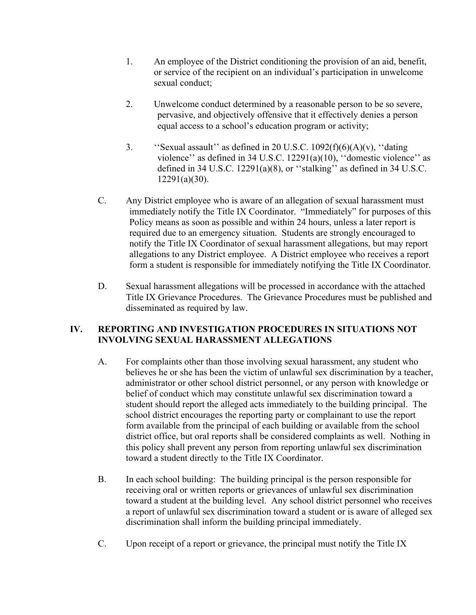- 1. An employee of the District conditioning the provision of an aid, benefit, or service of the recipient on an individual's participation in unwelcome sexual conduct;
- 2. Unwelcome conduct determined by a reasonable person to be so severe, pervasive, and objectively offensive that it effectively denies a person equal access to a school's education program or activity;
- 3. 'Sexual assault'' as defined in 20 U.S.C.  $1092(f)(6)(A)(v)$ , "dating" violence'' as defined in 34 U.S.C. 12291(a)(10), ''domestic violence'' as defined in 34 U.S.C. 12291(a)(8), or ''stalking'' as defined in 34 U.S.C. 12291(a)(30).
- C. Any District employee who is aware of an allegation of sexual harassment must immediately notify the Title IX Coordinator. "Immediately" for purposes of this Policy means as soon as possible and within 24 hours, unless a later report is required due to an emergency situation. Students are strongly encouraged to notify the Title IX Coordinator of sexual harassment allegations, but may report allegations to any District employee. A District employee who receives a report form a student is responsible for immediately notifying the Title IX Coordinator.
- D. Sexual harassment allegations will be processed in accordance with the attached Title IX Grievance Procedures. The Grievance Procedures must be published and disseminated as required by law.

#### **IV. REPORTING AND INVESTIGATION PROCEDURES IN SITUATIONS NOT INVOLVING SEXUAL HARASSMENT ALLEGATIONS**

- A. For complaints other than those involving sexual harassment, any student who believes he or she has been the victim of unlawful sex discrimination by a teacher, administrator or other school district personnel, or any person with knowledge or belief of conduct which may constitute unlawful sex discrimination toward a student should report the alleged acts immediately to the building principal. The school district encourages the reporting party or complainant to use the report form available from the principal of each building or available from the school district office, but oral reports shall be considered complaints as well. Nothing in this policy shall prevent any person from reporting unlawful sex discrimination toward a student directly to the Title IX Coordinator.
- B. In each school building: The building principal is the person responsible for receiving oral or written reports or grievances of unlawful sex discrimination toward a student at the building level. Any school district personnel who receives a report of unlawful sex discrimination toward a student or is aware of alleged sex discrimination shall inform the building principal immediately.
- C. Upon receipt of a report or grievance, the principal must notify the Title IX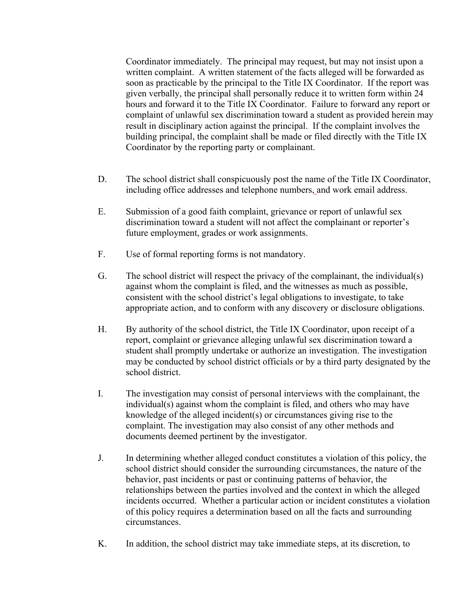Coordinator immediately. The principal may request, but may not insist upon a written complaint. A written statement of the facts alleged will be forwarded as soon as practicable by the principal to the Title IX Coordinator. If the report was given verbally, the principal shall personally reduce it to written form within 24 hours and forward it to the Title IX Coordinator. Failure to forward any report or complaint of unlawful sex discrimination toward a student as provided herein may result in disciplinary action against the principal. If the complaint involves the building principal, the complaint shall be made or filed directly with the Title IX Coordinator by the reporting party or complainant.

- D. The school district shall conspicuously post the name of the Title IX Coordinator, including office addresses and telephone numbers, and work email address.
- E. Submission of a good faith complaint, grievance or report of unlawful sex discrimination toward a student will not affect the complainant or reporter's future employment, grades or work assignments.
- F. Use of formal reporting forms is not mandatory.
- G. The school district will respect the privacy of the complainant, the individual(s) against whom the complaint is filed, and the witnesses as much as possible, consistent with the school district's legal obligations to investigate, to take appropriate action, and to conform with any discovery or disclosure obligations.
- H. By authority of the school district, the Title IX Coordinator, upon receipt of a report, complaint or grievance alleging unlawful sex discrimination toward a student shall promptly undertake or authorize an investigation. The investigation may be conducted by school district officials or by a third party designated by the school district.
- I. The investigation may consist of personal interviews with the complainant, the individual(s) against whom the complaint is filed, and others who may have knowledge of the alleged incident(s) or circumstances giving rise to the complaint. The investigation may also consist of any other methods and documents deemed pertinent by the investigator.
- J. In determining whether alleged conduct constitutes a violation of this policy, the school district should consider the surrounding circumstances, the nature of the behavior, past incidents or past or continuing patterns of behavior, the relationships between the parties involved and the context in which the alleged incidents occurred. Whether a particular action or incident constitutes a violation of this policy requires a determination based on all the facts and surrounding circumstances.
- K. In addition, the school district may take immediate steps, at its discretion, to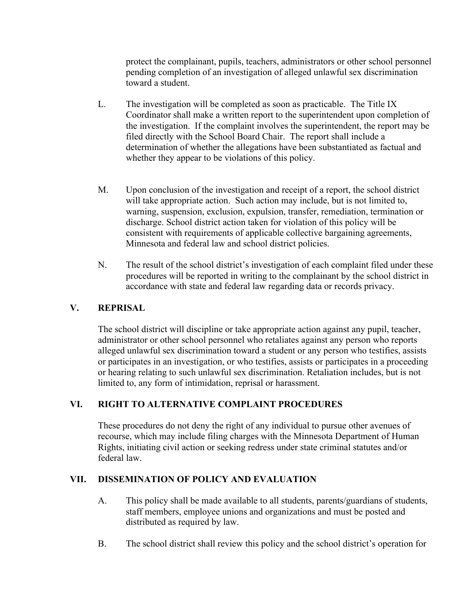protect the complainant, pupils, teachers, administrators or other school personnel pending completion of an investigation of alleged unlawful sex discrimination toward a student.

- L. The investigation will be completed as soon as practicable. The Title IX Coordinator shall make a written report to the superintendent upon completion of the investigation. If the complaint involves the superintendent, the report may be filed directly with the School Board Chair. The report shall include a determination of whether the allegations have been substantiated as factual and whether they appear to be violations of this policy.
- M. Upon conclusion of the investigation and receipt of a report, the school district will take appropriate action. Such action may include, but is not limited to, warning, suspension, exclusion, expulsion, transfer, remediation, termination or discharge. School district action taken for violation of this policy will be consistent with requirements of applicable collective bargaining agreements, Minnesota and federal law and school district policies.
- N. The result of the school district's investigation of each complaint filed under these procedures will be reported in writing to the complainant by the school district in accordance with state and federal law regarding data or records privacy.

### **V. REPRISAL**

The school district will discipline or take appropriate action against any pupil, teacher, administrator or other school personnel who retaliates against any person who reports alleged unlawful sex discrimination toward a student or any person who testifies, assists or participates in an investigation, or who testifies, assists or participates in a proceeding or hearing relating to such unlawful sex discrimination. Retaliation includes, but is not limited to, any form of intimidation, reprisal or harassment.

# **VI. RIGHT TO ALTERNATIVE COMPLAINT PROCEDURES**

These procedures do not deny the right of any individual to pursue other avenues of recourse, which may include filing charges with the Minnesota Department of Human Rights, initiating civil action or seeking redress under state criminal statutes and/or federal law.

#### **VII. DISSEMINATION OF POLICY AND EVALUATION**

- A. This policy shall be made available to all students, parents/guardians of students, staff members, employee unions and organizations and must be posted and distributed as required by law.
- B. The school district shall review this policy and the school district's operation for